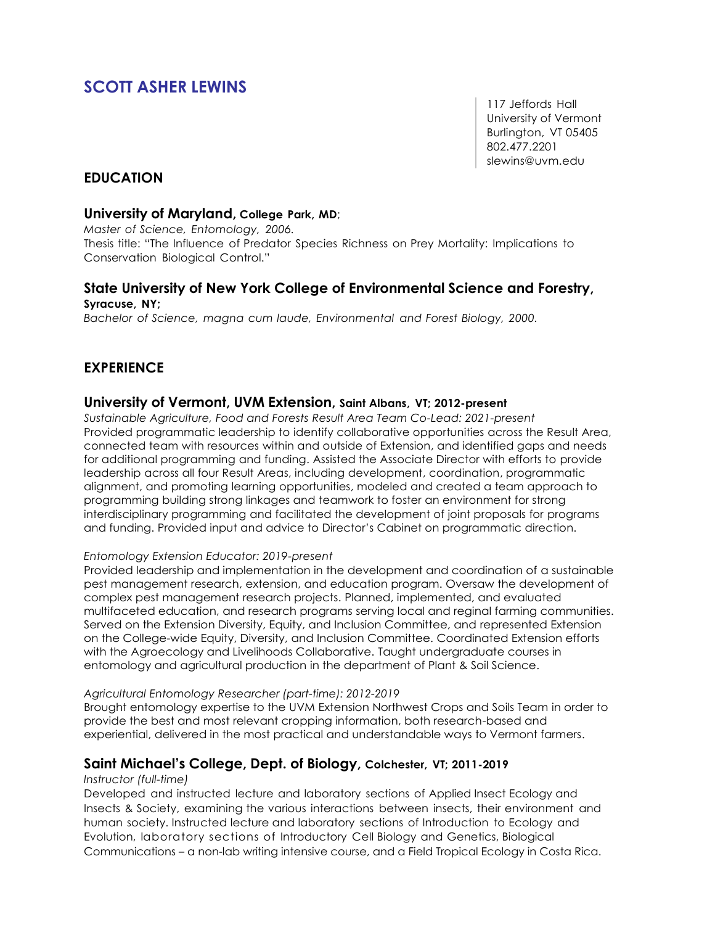# **SCOTT ASHER LEWINS**

117 Jeffords Hall University of Vermont Burlington, VT 05405 802.477.2201 slewins@uvm.edu

## **EDUCATION**

#### **University of Maryland, College Park, MD**;

*Master of Science, Entomology, 2006.*

Thesis title: "The Influence of Predator Species Richness on Prey Mortality: Implications to Conservation Biological Control."

### **State University of New York College of Environmental Science and Forestry, Syracuse, NY;**

*Bachelor of Science, magna cum laude, Environmental and Forest Biology, 2000.*

# **EXPERIENCE**

#### **University of Vermont, UVM Extension, Saint Albans, VT; 2012-present**

*Sustainable Agriculture, Food and Forests Result Area Team Co-Lead: 2021-present*  Provided programmatic leadership to identify collaborative opportunities across the Result Area, connected team with resources within and outside of Extension, and identified gaps and needs for additional programming and funding. Assisted the Associate Director with efforts to provide leadership across all four Result Areas, including development, coordination, programmatic alignment, and promoting learning opportunities, modeled and created a team approach to programming building strong linkages and teamwork to foster an environment for strong interdisciplinary programming and facilitated the development of joint proposals for programs and funding. Provided input and advice to Director's Cabinet on programmatic direction.

#### *Entomology Extension Educator: 2019-present*

Provided leadership and implementation in the development and coordination of a sustainable pest management research, extension, and education program. Oversaw the development of complex pest management research projects. Planned, implemented, and evaluated multifaceted education, and research programs serving local and reginal farming communities. Served on the Extension Diversity, Equity, and Inclusion Committee, and represented Extension on the College-wide Equity, Diversity, and Inclusion Committee. Coordinated Extension efforts with the Agroecology and Livelihoods Collaborative. Taught undergraduate courses in entomology and agricultural production in the department of Plant & Soil Science.

#### *Agricultural Entomology Researcher (part-time): 2012-2019*

Brought entomology expertise to the UVM Extension Northwest Crops and Soils Team in order to provide the best and most relevant cropping information, both research-based and experiential, delivered in the most practical and understandable ways to Vermont farmers.

#### **Saint Michael's College, Dept. of Biology, Colchester, VT; 2011-2019**

#### *Instructor (full-time)*

Developed and instructed lecture and laboratory sections of Applied Insect Ecology and Insects & Society, examining the various interactions between insects, their environment and human society. Instructed lecture and laboratory sections of Introduction to Ecology and Evolution, laboratory sections of Introductory Cell Biology and Genetics, Biological Communications – a non-lab writing intensive course, and a Field Tropical Ecology in Costa Rica.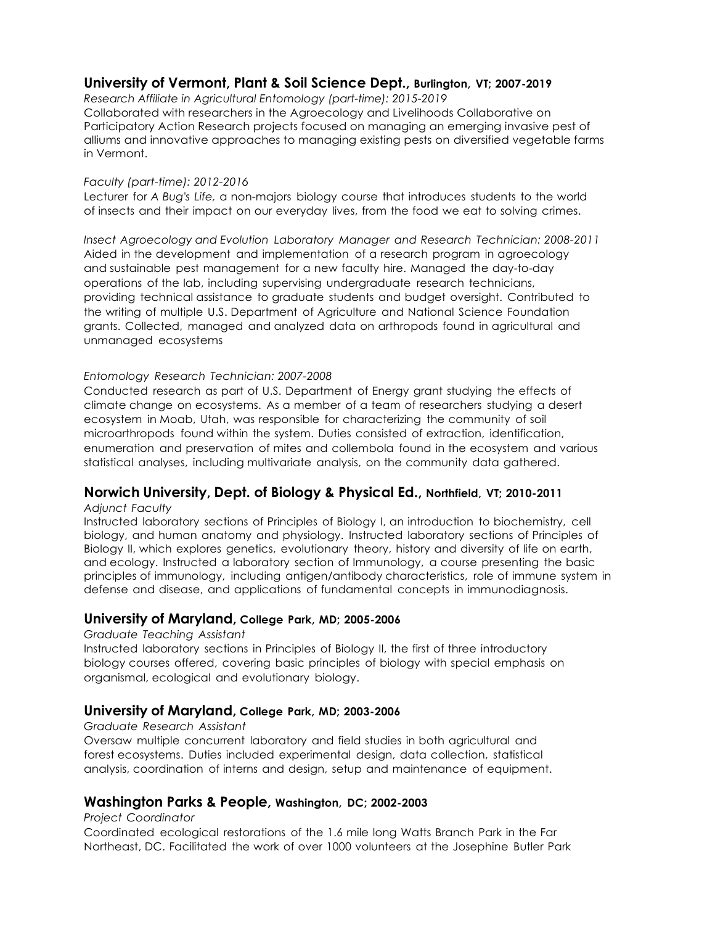## **University of Vermont, Plant & Soil Science Dept., Burlington, VT; 2007-2019**

*Research Affiliate in Agricultural Entomology (part-time): 2015-2019*

Collaborated with researchers in the Agroecology and Livelihoods Collaborative on Participatory Action Research projects focused on managing an emerging invasive pest of alliums and innovative approaches to managing existing pests on diversified vegetable farms in Vermont.

#### *Faculty (part-time): 2012-2016*

Lecturer for *A Bug's Life,* a non-majors biology course that introduces students to the world of insects and their impact on our everyday lives, from the food we eat to solving crimes.

*Insect Agroecology and Evolution Laboratory Manager and Research Technician: 2008-2011* Aided in the development and implementation of a research program in agroecology and sustainable pest management for a new faculty hire. Managed the day-to-day operations of the lab, including supervising undergraduate research technicians, providing technical assistance to graduate students and budget oversight. Contributed to the writing of multiple U.S. Department of Agriculture and National Science Foundation grants. Collected, managed and analyzed data on arthropods found in agricultural and unmanaged ecosystems

#### *Entomology Research Technician: 2007-2008*

Conducted research as part of U.S. Department of Energy grant studying the effects of climate change on ecosystems. As a member of a team of researchers studying a desert ecosystem in Moab, Utah, was responsible for characterizing the community of soil microarthropods found within the system. Duties consisted of extraction, identification, enumeration and preservation of mites and collembola found in the ecosystem and various statistical analyses, including multivariate analysis, on the community data gathered.

### **Norwich University, Dept. of Biology & Physical Ed., Northfield, VT; 2010-2011**

*Adjunct Faculty*

Instructed laboratory sections of Principles of Biology I, an introduction to biochemistry, cell biology, and human anatomy and physiology. Instructed laboratory sections of Principles of Biology II, which explores genetics, evolutionary theory, history and diversity of life on earth, and ecology. Instructed a laboratory section of Immunology, a course presenting the basic principles of immunology, including antigen/antibody characteristics, role of immune system in defense and disease, and applications of fundamental concepts in immunodiagnosis.

#### **University of Maryland, College Park, MD; 2005-2006**

#### *Graduate Teaching Assistant*

Instructed laboratory sections in Principles of Biology II, the first of three introductory biology courses offered, covering basic principles of biology with special emphasis on organismal, ecological and evolutionary biology.

#### **University of Maryland, College Park, MD; 2003-2006**

#### *Graduate Research Assistant*

Oversaw multiple concurrent laboratory and field studies in both agricultural and forest ecosystems. Duties included experimental design, data collection, statistical analysis, coordination of interns and design, setup and maintenance of equipment.

### **Washington Parks & People, Washington, DC; 2002-2003**

#### *Project Coordinator*

Coordinated ecological restorations of the 1.6 mile long Watts Branch Park in the Far Northeast, DC. Facilitated the work of over 1000 volunteers at the Josephine Butler Park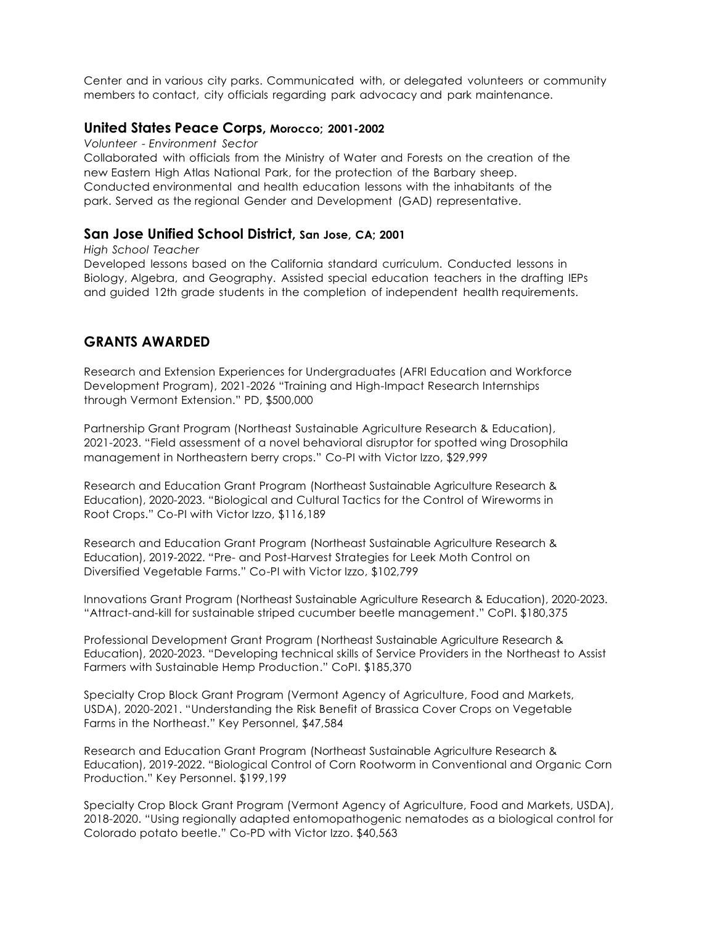Center and in various city parks. Communicated with, or delegated volunteers or community members to contact, city officials regarding park advocacy and park maintenance.

#### **United States Peace Corps, Morocco; 2001-2002**

*Volunteer - Environment Sector*

Collaborated with officials from the Ministry of Water and Forests on the creation of the new Eastern High Atlas National Park, for the protection of the Barbary sheep. Conducted environmental and health education lessons with the inhabitants of the park. Served as the regional Gender and Development (GAD) representative.

#### **San Jose Unified School District, San Jose, CA; 2001**

*High School Teacher* Developed lessons based on the California standard curriculum. Conducted lessons in Biology, Algebra, and Geography. Assisted special education teachers in the drafting IEPs and guided 12th grade students in the completion of independent health requirements.

## **GRANTS AWARDED**

Research and Extension Experiences for Undergraduates (AFRI Education and Workforce Development Program), 2021-2026 "Training and High-Impact Research Internships through Vermont Extension." PD, \$500,000

Partnership Grant Program (Northeast Sustainable Agriculture Research & Education), 2021-2023. "Field assessment of a novel behavioral disruptor for spotted wing Drosophila management in Northeastern berry crops." Co-PI with Victor Izzo, \$29,999

Research and Education Grant Program (Northeast Sustainable Agriculture Research & Education), 2020-2023. "Biological and Cultural Tactics for the Control of Wireworms in Root Crops." Co-PI with Victor Izzo, \$116,189

Research and Education Grant Program (Northeast Sustainable Agriculture Research & Education), 2019-2022. "Pre- and Post-Harvest Strategies for Leek Moth Control on Diversified Vegetable Farms." Co-PI with Victor Izzo, \$102,799

Innovations Grant Program (Northeast Sustainable Agriculture Research & Education), 2020-2023. "Attract-and-kill for sustainable striped cucumber beetle management." CoPI. \$180,375

Professional Development Grant Program (Northeast Sustainable Agriculture Research & Education), 2020-2023. "Developing technical skills of Service Providers in the Northeast to Assist Farmers with Sustainable Hemp Production." CoPI. \$185,370

Specialty Crop Block Grant Program (Vermont Agency of Agriculture, Food and Markets, USDA), 2020-2021. "Understanding the Risk Benefit of Brassica Cover Crops on Vegetable Farms in the Northeast." Key Personnel, \$47,584

Research and Education Grant Program (Northeast Sustainable Agriculture Research & Education), 2019-2022. "Biological Control of Corn Rootworm in Conventional and Organic Corn Production." Key Personnel. \$199,199

Specialty Crop Block Grant Program (Vermont Agency of Agriculture, Food and Markets, USDA), 2018-2020. "Using regionally adapted entomopathogenic nematodes as a biological control for Colorado potato beetle." Co-PD with Victor Izzo. \$40,563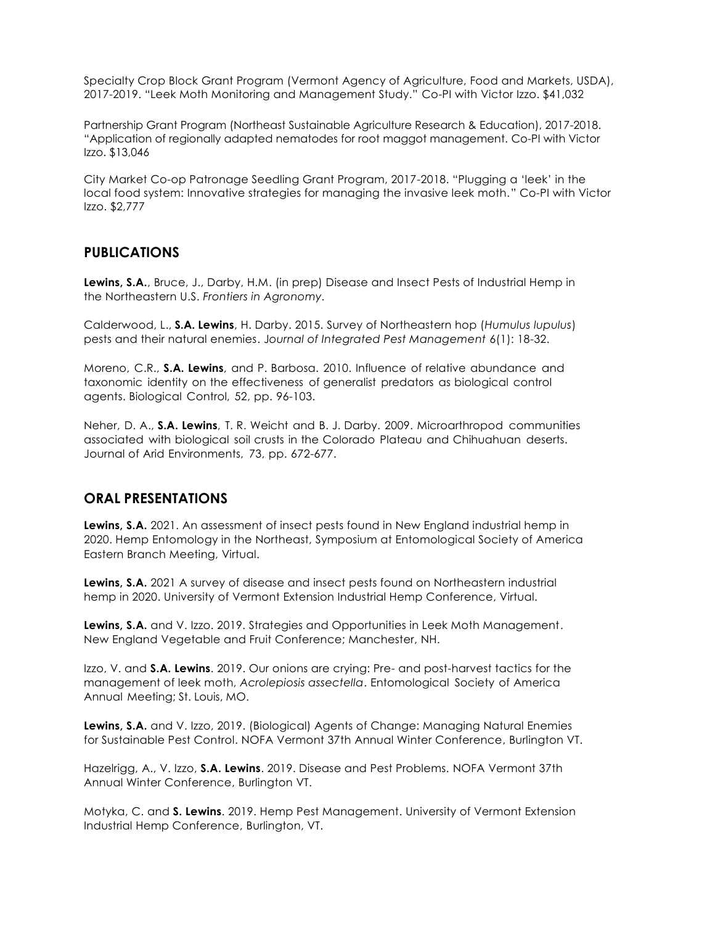Specialty Crop Block Grant Program (Vermont Agency of Agriculture, Food and Markets, USDA), 2017-2019. "Leek Moth Monitoring and Management Study." Co-PI with Victor Izzo. \$41,032

Partnership Grant Program (Northeast Sustainable Agriculture Research & Education), 2017-2018. "Application of regionally adapted nematodes for root maggot management. Co-PI with Victor Izzo. \$13,046

City Market Co-op Patronage Seedling Grant Program, 2017-2018. "Plugging a 'leek' in the local food system: Innovative strategies for managing the invasive leek moth." Co-PI with Victor Izzo. \$2,777

### **PUBLICATIONS**

**Lewins, S.A.**, Bruce, J., Darby, H.M. (in prep) Disease and Insect Pests of Industrial Hemp in the Northeastern U.S. *Frontiers in Agronomy.*

Calderwood, L., **S.A. Lewins**, H. Darby. 2015. Survey of Northeastern hop (*Humulus lupulus*) pests and their natural enemies. J*ournal of Integrated Pest Management* 6(1): 18-32.

Moreno, C.R., **S.A. Lewins**, and P. Barbosa. 2010. Influence of relative abundance and taxonomic identity on the effectiveness of generalist predators as biological control agents. Biological Control, 52, pp. 96-103.

Neher, D. A., **S.A. Lewins**, T. R. Weicht and B. J. Darby. 2009. Microarthropod communities associated with biological soil crusts in the Colorado Plateau and Chihuahuan deserts. Journal of Arid Environments, 73, pp. 672-677.

### **ORAL PRESENTATIONS**

**Lewins, S.A.** 2021. An assessment of insect pests found in New England industrial hemp in 2020. Hemp Entomology in the Northeast, Symposium at Entomological Society of America Eastern Branch Meeting, Virtual.

**Lewins, S.A.** 2021 A survey of disease and insect pests found on Northeastern industrial hemp in 2020. University of Vermont Extension Industrial Hemp Conference, Virtual.

**Lewins, S.A.** and V. Izzo. 2019. Strategies and Opportunities in Leek Moth Management. New England Vegetable and Fruit Conference; Manchester, NH.

Izzo, V. and **S.A. Lewins**. 2019. Our onions are crying: Pre- and post-harvest tactics for the management of leek moth, *Acrolepiosis assectella*. Entomological Society of America Annual Meeting; St. Louis, MO.

**Lewins, S.A.** and V. Izzo, 2019. (Biological) Agents of Change: Managing Natural Enemies for Sustainable Pest Control. NOFA Vermont 37th Annual Winter Conference, Burlington VT.

Hazelrigg, A., V. Izzo, **S.A. Lewins**. 2019. Disease and Pest Problems. NOFA Vermont 37th Annual Winter Conference, Burlington VT.

Motyka, C. and **S. Lewins**. 2019. Hemp Pest Management. University of Vermont Extension Industrial Hemp Conference, Burlington, VT.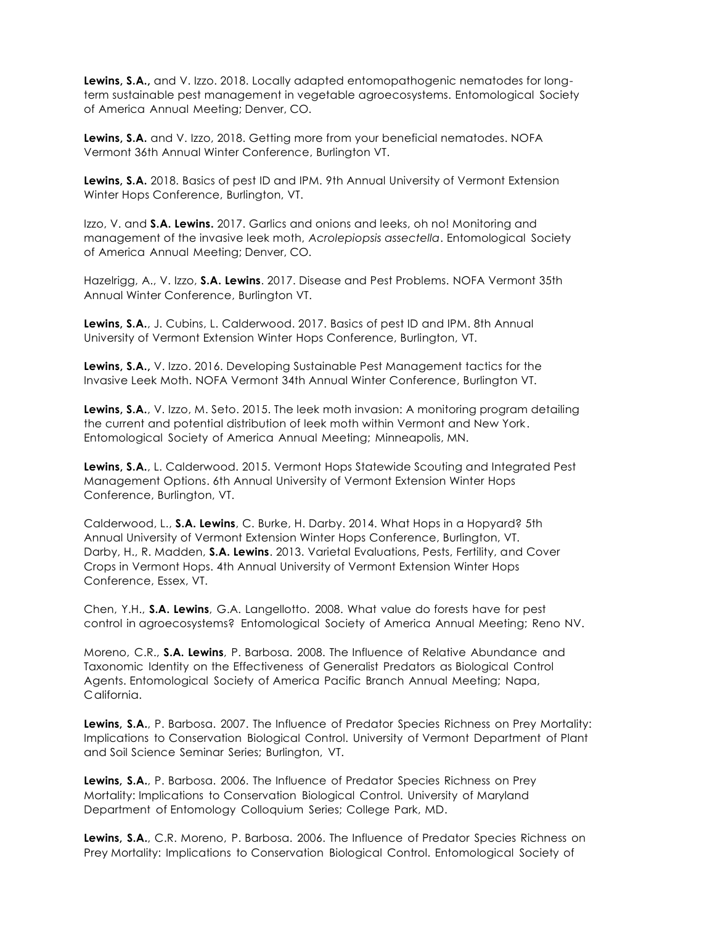**Lewins, S.A.,** and V. Izzo. 2018. Locally adapted entomopathogenic nematodes for longterm sustainable pest management in vegetable agroecosystems. Entomological Society of America Annual Meeting; Denver, CO.

**Lewins, S.A.** and V. Izzo, 2018. Getting more from your beneficial nematodes. NOFA Vermont 36th Annual Winter Conference, Burlington VT.

**Lewins, S.A.** 2018. Basics of pest ID and IPM. 9th Annual University of Vermont Extension Winter Hops Conference, Burlington, VT.

Izzo, V. and **S.A. Lewins.** 2017. Garlics and onions and leeks, oh no! Monitoring and management of the invasive leek moth, *Acrolepiopsis assectella*. Entomological Society of America Annual Meeting; Denver, CO.

Hazelrigg, A., V. Izzo, **S.A. Lewins**. 2017. Disease and Pest Problems. NOFA Vermont 35th Annual Winter Conference, Burlington VT.

**Lewins, S.A.**, J. Cubins, L. Calderwood. 2017. Basics of pest ID and IPM. 8th Annual University of Vermont Extension Winter Hops Conference, Burlington, VT.

**Lewins, S.A.,** V. Izzo. 2016. Developing Sustainable Pest Management tactics for the Invasive Leek Moth. NOFA Vermont 34th Annual Winter Conference, Burlington VT.

**Lewins, S.A.**, V. Izzo, M. Seto. 2015. The leek moth invasion: A monitoring program detailing the current and potential distribution of leek moth within Vermont and New York. Entomological Society of America Annual Meeting; Minneapolis, MN.

**Lewins, S.A.**, L. Calderwood. 2015. Vermont Hops Statewide Scouting and Integrated Pest Management Options. 6th Annual University of Vermont Extension Winter Hops Conference, Burlington, VT.

Calderwood, L., **S.A. Lewins**, C. Burke, H. Darby. 2014. What Hops in a Hopyard? 5th Annual University of Vermont Extension Winter Hops Conference, Burlington, VT. Darby, H., R. Madden, **S.A. Lewins**. 2013. Varietal Evaluations, Pests, Fertility, and Cover Crops in Vermont Hops. 4th Annual University of Vermont Extension Winter Hops Conference, Essex, VT.

Chen, Y.H., **S.A. Lewins**, G.A. Langellotto. 2008. What value do forests have for pest control in agroecosystems? Entomological Society of America Annual Meeting; Reno NV.

Moreno, C.R., **S.A. Lewins**, P. Barbosa. 2008. The Influence of Relative Abundance and Taxonomic Identity on the Effectiveness of Generalist Predators as Biological Control Agents. Entomological Society of America Pacific Branch Annual Meeting; Napa, California.

**Lewins, S.A.**, P. Barbosa. 2007. The Influence of Predator Species Richness on Prey Mortality: Implications to Conservation Biological Control. University of Vermont Department of Plant and Soil Science Seminar Series; Burlington, VT.

**Lewins, S.A.**, P. Barbosa. 2006. The Influence of Predator Species Richness on Prey Mortality: Implications to Conservation Biological Control. University of Maryland Department of Entomology Colloquium Series; College Park, MD.

**Lewins, S.A.**, C.R. Moreno, P. Barbosa. 2006. The Influence of Predator Species Richness on Prey Mortality: Implications to Conservation Biological Control. Entomological Society of